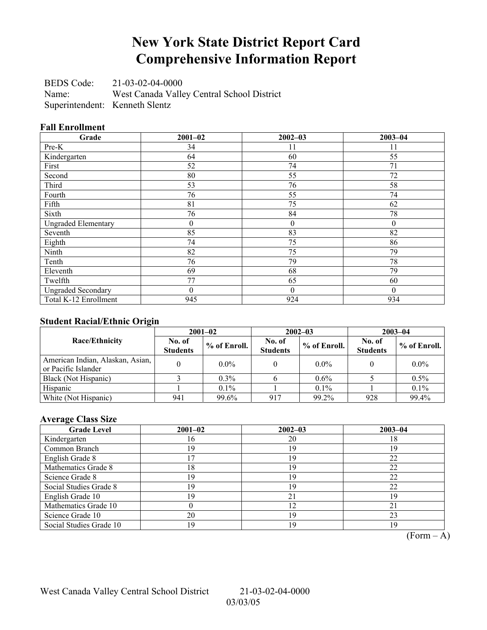### **New York State District Report Card Comprehensive Information Report**

BEDS Code: 21-03-02-04-0000 Name: West Canada Valley Central School District Superintendent: Kenneth Slentz

#### **Fall Enrollment**

| Grade                      | $2001 - 02$    | $2002 - 03$  | $2003 - 04$ |
|----------------------------|----------------|--------------|-------------|
| Pre-K                      | 34             | 11           | 11          |
| Kindergarten               | 64             | 60           | 55          |
| First                      | 52             | 74           | 71          |
| Second                     | 80             | 55           | 72          |
| Third                      | 53             | 76           | 58          |
| Fourth                     | 76             | 55           | 74          |
| Fifth                      | 81             | 75           | 62          |
| Sixth                      | 76             | 84           | 78          |
| <b>Ungraded Elementary</b> | $\overline{0}$ | $\mathbf{0}$ | $\theta$    |
| Seventh                    | 85             | 83           | 82          |
| Eighth                     | 74             | 75           | 86          |
| Ninth                      | 82             | 75           | 79          |
| Tenth                      | 76             | 79           | 78          |
| Eleventh                   | 69             | 68           | 79          |
| Twelfth                    | 77             | 65           | 60          |
| <b>Ungraded Secondary</b>  | $\overline{0}$ | $\mathbf{0}$ | $\theta$    |
| Total K-12 Enrollment      | 945            | 924          | 934         |

#### **Student Racial/Ethnic Origin**

|                                                         |                           | $2001 - 02$<br>$2002 - 03$ |                           |              | $2003 - 04$               |                |
|---------------------------------------------------------|---------------------------|----------------------------|---------------------------|--------------|---------------------------|----------------|
| <b>Race/Ethnicity</b>                                   | No. of<br><b>Students</b> | $%$ of Enroll.             | No. of<br><b>Students</b> | % of Enroll. | No. of<br><b>Students</b> | $%$ of Enroll. |
| American Indian, Alaskan, Asian,<br>or Pacific Islander |                           | $0.0\%$                    |                           | $0.0\%$      |                           | $0.0\%$        |
| Black (Not Hispanic)                                    |                           | $0.3\%$                    |                           | $0.6\%$      |                           | 0.5%           |
| Hispanic                                                |                           | 0.1%                       |                           | $0.1\%$      |                           | $0.1\%$        |
| White (Not Hispanic)                                    | 941                       | 99.6%                      | 917                       | 99.2%        | 928                       | 99.4%          |

#### **Average Class Size**

| <b>Grade Level</b>      | $2001 - 02$ | $2002 - 03$ | $2003 - 04$ |
|-------------------------|-------------|-------------|-------------|
| Kindergarten            | 16          | 20          | 18          |
| Common Branch           | 19          | 19          | 19          |
| English Grade 8         | 7           | 19          | 22          |
| Mathematics Grade 8     | 18          | 19          | 22          |
| Science Grade 8         | 19          | 19          | 22          |
| Social Studies Grade 8  | 19          | 19          | 22          |
| English Grade 10        | 19          | 21          | 19          |
| Mathematics Grade 10    |             | 12          | 21          |
| Science Grade 10        | 20          | 19          | 23          |
| Social Studies Grade 10 | 19          | 19          | 19          |

 $\overline{(Form - A)}$ 

West Canada Valley Central School District 21-03-02-04-0000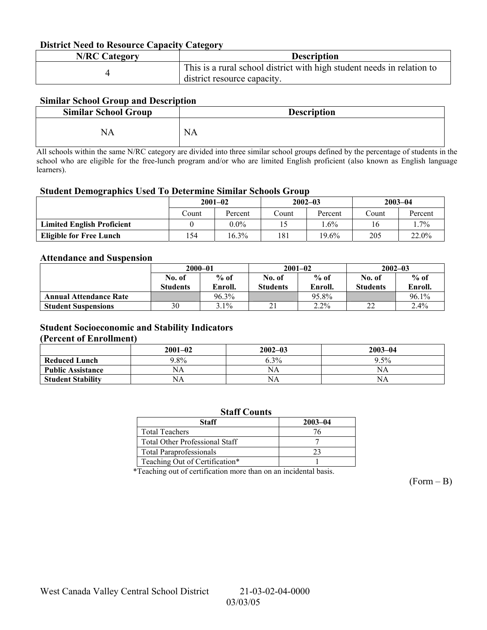#### **District Need to Resource Capacity Category**

| <b>N/RC Category</b> | <b>Description</b>                                                     |
|----------------------|------------------------------------------------------------------------|
|                      | This is a rural school district with high student needs in relation to |
|                      | district resource capacity.                                            |

#### **Similar School Group and Description**

| <b>Similar School Group</b> | <b>Description</b> |
|-----------------------------|--------------------|
| NA                          | <b>NA</b>          |

All schools within the same N/RC category are divided into three similar school groups defined by the percentage of students in the school who are eligible for the free-lunch program and/or who are limited English proficient (also known as English language learners).

#### **Student Demographics Used To Determine Similar Schools Group**

| $\epsilon$                        | $2001 - 02$ |         | $2002 - 03$ |          | $2003 - 04$ |         |
|-----------------------------------|-------------|---------|-------------|----------|-------------|---------|
|                                   | ∴ount       | Percent | Count       | Percent  | Count       | Percent |
| <b>Limited English Proficient</b> |             | $0.0\%$ |             | $.6\%$   | 16          | $.7\%$  |
| <b>Eligible for Free Lunch</b>    | 54ء         | 16.3%   | 181         | $19.6\%$ | 205         | 22.0%   |

#### **Attendance and Suspension**

|                               | $2000 - 01$     |         |                 | $2001 - 02$ | $2002 - 03$     |         |
|-------------------------------|-----------------|---------|-----------------|-------------|-----------------|---------|
|                               | No. of          | $%$ of  | No. of          | $%$ of      | No. of          | $%$ of  |
|                               | <b>Students</b> | Enroll. | <b>Students</b> | Enroll.     | <b>Students</b> | Enroll. |
| <b>Annual Attendance Rate</b> |                 | 96.3%   |                 | 95.8%       |                 | 96.1%   |
| <b>Student Suspensions</b>    | 30              | $3.1\%$ |                 | $2.2\%$     | າາ              | 2.4%    |

#### **Student Socioeconomic and Stability Indicators**

#### **(Percent of Enrollment)**

|                          | $2001 - 02$ | $2002 - 03$ | $2003 - 04$ |
|--------------------------|-------------|-------------|-------------|
| <b>Reduced Lunch</b>     | $9.8\%$     | 6.3%        | 9.5%        |
| <b>Public Assistance</b> | NΑ          | NA          | NA          |
| <b>Student Stability</b> | NΑ          | NA          | NΑ          |

| <b>Staff Counts</b>                   |             |  |  |  |  |
|---------------------------------------|-------------|--|--|--|--|
| <b>Staff</b>                          | $2003 - 04$ |  |  |  |  |
| <b>Total Teachers</b>                 | 76          |  |  |  |  |
| <b>Total Other Professional Staff</b> |             |  |  |  |  |
| <b>Total Paraprofessionals</b>        | つつ          |  |  |  |  |
| Teaching Out of Certification*        |             |  |  |  |  |

\*Teaching out of certification more than on an incidental basis.

 $(Form - B)$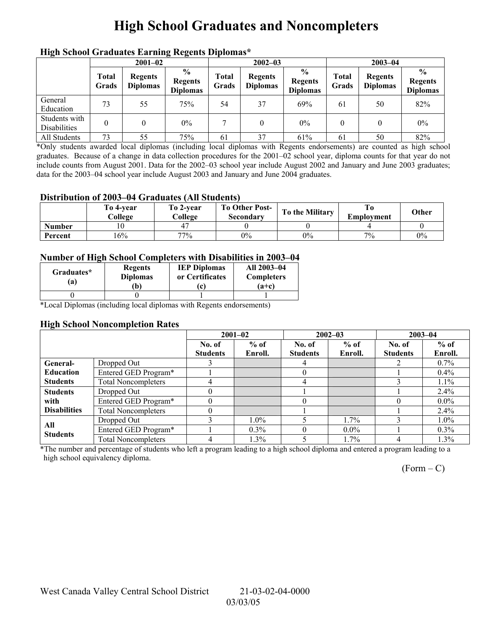## **High School Graduates and Noncompleters**

| men senoor Graaaates Larming regents Dipromas |                       |                                   |                                                     |                       |                                   |                                                    |                |                                   |                                                    |  |
|-----------------------------------------------|-----------------------|-----------------------------------|-----------------------------------------------------|-----------------------|-----------------------------------|----------------------------------------------------|----------------|-----------------------------------|----------------------------------------------------|--|
|                                               | $2001 - 02$           |                                   |                                                     |                       | $2002 - 03$                       |                                                    |                | $2003 - 04$                       |                                                    |  |
|                                               | <b>Total</b><br>Grads | <b>Regents</b><br><b>Diplomas</b> | $\frac{6}{10}$<br><b>Regents</b><br><b>Diplomas</b> | <b>Total</b><br>Grads | <b>Regents</b><br><b>Diplomas</b> | $\frac{6}{6}$<br><b>Regents</b><br><b>Diplomas</b> | Total<br>Grads | <b>Regents</b><br><b>Diplomas</b> | $\frac{6}{6}$<br><b>Regents</b><br><b>Diplomas</b> |  |
| General<br>Education                          | 73                    | 55                                | 75%                                                 | 54                    | 37                                | 69%                                                | 61             | 50                                | 82%                                                |  |
| Students with<br>Disabilities                 |                       |                                   | $0\%$                                               | $\mathbf{r}$          |                                   | $0\%$                                              | $\theta$       |                                   | $0\%$                                              |  |
| All Students                                  | 73                    | 55                                | 75%                                                 | 61                    | 37                                | 61%                                                | 61             | 50                                | 82%                                                |  |

#### **High School Graduates Earning Regents Diplomas\***

\*Only students awarded local diplomas (including local diplomas with Regents endorsements) are counted as high school graduates. Because of a change in data collection procedures for the 2001–02 school year, diploma counts for that year do not include counts from August 2001. Data for the 2002–03 school year include August 2002 and January and June 2003 graduates; data for the 2003–04 school year include August 2003 and January and June 2004 graduates.

#### **Distribution of 2003–04 Graduates (All Students)**

|               | To 4-vear<br>College | To 2-vear<br>College | <b>To Other Post-</b><br>Secondary | To the Military | Employment | Other |
|---------------|----------------------|----------------------|------------------------------------|-----------------|------------|-------|
| <b>Number</b> | 10                   | 4                    |                                    |                 |            |       |
| Percent       | 16%                  | 77%                  | $0\%$                              | $0\%$           | 7%         | $0\%$ |

#### **Number of High School Completers with Disabilities in 2003–04**

| Graduates*<br>a) | <b>Regents</b><br><b>Diplomas</b><br>b) | <b>IEP Diplomas</b><br>or Certificates<br>$\mathbf{c}$ | All 2003-04<br><b>Completers</b><br>$(a+c)$ |
|------------------|-----------------------------------------|--------------------------------------------------------|---------------------------------------------|
|                  |                                         |                                                        |                                             |
| $\sim$<br>$\sim$ | . .                                     | . .<br>$-$                                             |                                             |

\*Local Diplomas (including local diplomas with Regents endorsements)

#### **High School Noncompletion Rates**

|                     |                            |                 | $2001 - 02$ |                 | $2002 - 03$ |                 | $2003 - 04$ |  |
|---------------------|----------------------------|-----------------|-------------|-----------------|-------------|-----------------|-------------|--|
|                     |                            | No. of          | $%$ of      | No. of          | $%$ of      | No. of          | $%$ of      |  |
|                     |                            | <b>Students</b> | Enroll.     | <b>Students</b> | Enroll.     | <b>Students</b> | Enroll.     |  |
| General-            | Dropped Out                |                 |             | 4               |             |                 | $0.7\%$     |  |
| <b>Education</b>    | Entered GED Program*       |                 |             |                 |             |                 | $0.4\%$     |  |
| <b>Students</b>     | <b>Total Noncompleters</b> | 4               |             | 4               |             |                 | $1.1\%$     |  |
| <b>Students</b>     | Dropped Out                |                 |             |                 |             |                 | 2.4%        |  |
| with                | Entered GED Program*       |                 |             |                 |             |                 | $0.0\%$     |  |
| <b>Disabilities</b> | <b>Total Noncompleters</b> |                 |             |                 |             |                 | $2.4\%$     |  |
| All                 | Dropped Out                |                 | $1.0\%$     |                 | $1.7\%$     |                 | $1.0\%$     |  |
| <b>Students</b>     | Entered GED Program*       |                 | $0.3\%$     |                 | $0.0\%$     |                 | $0.3\%$     |  |
|                     | <b>Total Noncompleters</b> | 4               | 1.3%        |                 | 1.7%        | 4               | 1.3%        |  |

\*The number and percentage of students who left a program leading to a high school diploma and entered a program leading to a high school equivalency diploma.

 $(Form - C)$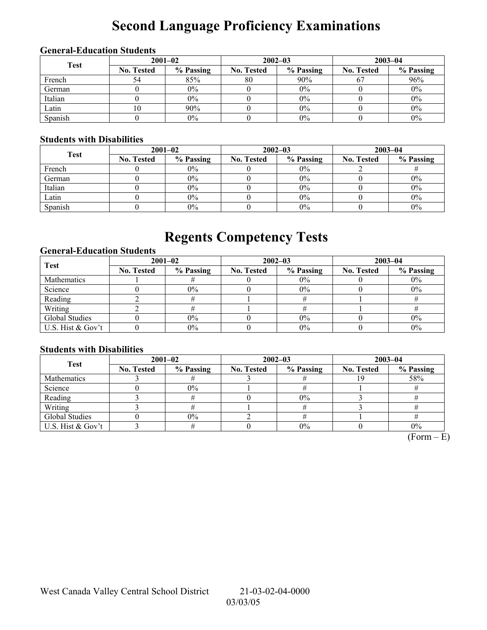# **Second Language Proficiency Examinations**

#### **General-Education Students**

| <b>Test</b> | $2001 - 02$       |           |                   | $2002 - 03$ | $2003 - 04$       |           |  |
|-------------|-------------------|-----------|-------------------|-------------|-------------------|-----------|--|
|             | <b>No. Tested</b> | % Passing | <b>No. Tested</b> | % Passing   | <b>No. Tested</b> | % Passing |  |
| French      |                   | 85%       | 80                | 90%         |                   | 96%       |  |
| German      |                   | $0\%$     |                   | $0\%$       |                   | $0\%$     |  |
| Italian     |                   | $0\%$     |                   | $0\%$       |                   | $0\%$     |  |
| Latin       |                   | 90%       |                   | $0\%$       |                   | $0\%$     |  |
| Spanish     |                   | $0\%$     |                   | 0%          |                   | $0\%$     |  |

#### **Students with Disabilities**

| <b>Test</b> | $2001 - 02$       |           |                   | $2002 - 03$ | $2003 - 04$       |           |  |
|-------------|-------------------|-----------|-------------------|-------------|-------------------|-----------|--|
|             | <b>No. Tested</b> | % Passing | <b>No. Tested</b> | % Passing   | <b>No. Tested</b> | % Passing |  |
| French      |                   | $0\%$     |                   | $0\%$       |                   |           |  |
| German      |                   | $0\%$     |                   | 0%          |                   | $0\%$     |  |
| Italian     |                   | $0\%$     |                   | 0%          |                   | $0\%$     |  |
| Latin       |                   | $0\%$     |                   | 0%          |                   | $0\%$     |  |
| Spanish     |                   | $0\%$     |                   | $0\%$       |                   | $0\%$     |  |

## **Regents Competency Tests**

#### **General-Education Students**

| <b>Test</b>       | $2001 - 02$       |           |                   | $2002 - 03$ | $2003 - 04$       |           |  |
|-------------------|-------------------|-----------|-------------------|-------------|-------------------|-----------|--|
|                   | <b>No. Tested</b> | % Passing | <b>No. Tested</b> | % Passing   | <b>No. Tested</b> | % Passing |  |
| Mathematics       |                   |           |                   | $0\%$       |                   | $0\%$     |  |
| Science           |                   | $0\%$     |                   | $0\%$       |                   | $0\%$     |  |
| Reading           |                   |           |                   |             |                   |           |  |
| Writing           |                   |           |                   |             |                   |           |  |
| Global Studies    |                   | $0\%$     |                   | 0%          |                   | $0\%$     |  |
| U.S. Hist & Gov't |                   | $0\%$     |                   | 0%          |                   | $0\%$     |  |

#### **Students with Disabilities**

| <b>Test</b>       | $2001 - 02$       |           |                   | $2002 - 03$ | $2003 - 04$       |           |  |
|-------------------|-------------------|-----------|-------------------|-------------|-------------------|-----------|--|
|                   | <b>No. Tested</b> | % Passing | <b>No. Tested</b> | % Passing   | <b>No. Tested</b> | % Passing |  |
| Mathematics       |                   |           |                   |             |                   | 58%       |  |
| Science           |                   | $0\%$     |                   |             |                   |           |  |
| Reading           |                   |           |                   | 0%          |                   |           |  |
| Writing           |                   |           |                   |             |                   |           |  |
| Global Studies    |                   | $0\%$     |                   |             |                   |           |  |
| U.S. Hist & Gov't |                   |           |                   | $0\%$       |                   | $0\%$     |  |

 $(Form - E)$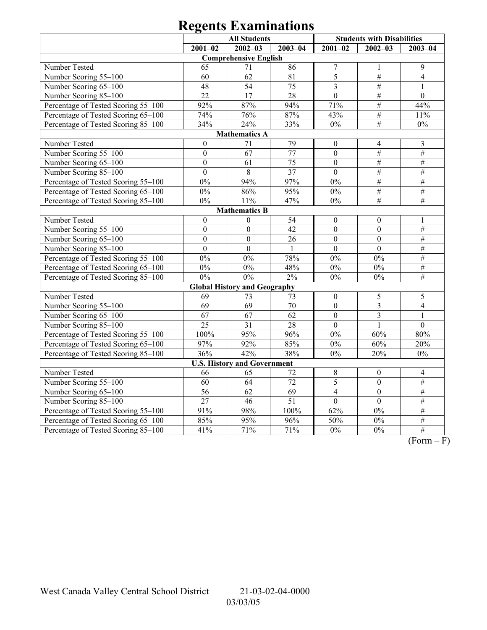|                                     | <b>All Students</b> |                                     |                 | <b>Students with Disabilities</b> |                  |                 |  |  |  |
|-------------------------------------|---------------------|-------------------------------------|-----------------|-----------------------------------|------------------|-----------------|--|--|--|
|                                     | $2001 - 02$         | $2002 - 03$                         | $2003 - 04$     | $2001 - 02$                       | $2002 - 03$      | $2003 - 04$     |  |  |  |
|                                     |                     | <b>Comprehensive English</b>        |                 |                                   |                  |                 |  |  |  |
| Number Tested                       | 65                  | 71                                  | 86              | $\overline{7}$                    | $\mathbf{1}$     | $\mathfrak{g}$  |  |  |  |
| Number Scoring 55-100               | 60                  | 62                                  | 81              | 5                                 | $\overline{\#}$  | $\overline{4}$  |  |  |  |
| Number Scoring 65-100               | 48                  | $\overline{54}$                     | 75              | $\overline{3}$                    | $\#$             | 1               |  |  |  |
| Number Scoring 85-100               | 22                  | $\overline{17}$                     | 28              | $\overline{0}$                    | $\#$             | $\overline{0}$  |  |  |  |
| Percentage of Tested Scoring 55-100 | 92%                 | 87%                                 | 94%             | 71%                               | $\#$             | 44%             |  |  |  |
| Percentage of Tested Scoring 65-100 | 74%                 | 76%                                 | 87%             | 43%                               | $\overline{\#}$  | 11%             |  |  |  |
| Percentage of Tested Scoring 85-100 | 34%                 | 24%                                 | 33%             | $0\%$                             | $\overline{\#}$  | $0\%$           |  |  |  |
|                                     |                     | <b>Mathematics A</b>                |                 |                                   |                  |                 |  |  |  |
| Number Tested                       | $\boldsymbol{0}$    | 71                                  | 79              | $\boldsymbol{0}$                  | $\overline{4}$   | $\mathfrak{Z}$  |  |  |  |
| Number Scoring 55-100               | $\mathbf{0}$        | $\overline{67}$                     | $\overline{77}$ | $\overline{0}$                    | $\overline{\#}$  | $\overline{\#}$ |  |  |  |
| Number Scoring 65-100               | $\boldsymbol{0}$    | 61                                  | 75              | $\boldsymbol{0}$                  | $\#$             | $\#$            |  |  |  |
| Number Scoring 85-100               | $\overline{0}$      | 8                                   | 37              | $\overline{0}$                    | $\overline{\#}$  | $\overline{\#}$ |  |  |  |
| Percentage of Tested Scoring 55-100 | 0%                  | 94%                                 | 97%             | $0\%$                             | $#$              | $\#$            |  |  |  |
| Percentage of Tested Scoring 65-100 | $0\%$               | 86%                                 | 95%             | $0\%$                             | $\frac{1}{2}$    | $\overline{\#}$ |  |  |  |
| Percentage of Tested Scoring 85-100 | $0\%$               | 11%                                 | 47%             | $0\%$                             | $\overline{\#}$  | $\overline{\#}$ |  |  |  |
| <b>Mathematics B</b>                |                     |                                     |                 |                                   |                  |                 |  |  |  |
| Number Tested                       | $\boldsymbol{0}$    | $\boldsymbol{0}$                    | 54              | $\boldsymbol{0}$                  | $\boldsymbol{0}$ |                 |  |  |  |
| Number Scoring 55-100               | $\boldsymbol{0}$    | $\overline{0}$                      | 42              | $\boldsymbol{0}$                  | $\mathbf{0}$     | $\#$            |  |  |  |
| Number Scoring 65-100               | $\mathbf{0}$        | $\boldsymbol{0}$                    | 26              | $\boldsymbol{0}$                  | $\overline{0}$   | $\overline{\#}$ |  |  |  |
| Number Scoring 85-100               | $\boldsymbol{0}$    | $\boldsymbol{0}$                    | 1               | $\boldsymbol{0}$                  | $\mathbf{0}$     | $\overline{\#}$ |  |  |  |
| Percentage of Tested Scoring 55-100 | $0\%$               | $0\%$                               | 78%             | $0\%$                             | 0%               | $\#$            |  |  |  |
| Percentage of Tested Scoring 65-100 | $0\%$               | $0\%$                               | 48%             | $0\%$                             | 0%               | $\#$            |  |  |  |
| Percentage of Tested Scoring 85-100 | $0\%$               | $0\%$                               | 2%              | $0\%$                             | $0\%$            | $\overline{\#}$ |  |  |  |
|                                     |                     | <b>Global History and Geography</b> |                 |                                   |                  |                 |  |  |  |
| Number Tested                       | 69                  | 73                                  | 73              | $\boldsymbol{0}$                  | 5                | 5               |  |  |  |
| Number Scoring 55-100               | 69                  | 69                                  | 70              | $\mathbf{0}$                      | $\overline{3}$   | $\overline{4}$  |  |  |  |
| Number Scoring 65-100               | 67                  | 67                                  | $\overline{62}$ | $\boldsymbol{0}$                  | $\overline{3}$   | $\mathbf{1}$    |  |  |  |
| Number Scoring 85-100               | $\overline{25}$     | $\overline{31}$                     | $\overline{28}$ | $\overline{0}$                    | $\mathbf{1}$     | $\Omega$        |  |  |  |
| Percentage of Tested Scoring 55-100 | 100%                | 95%                                 | 96%             | $0\%$                             | 60%              | 80%             |  |  |  |
| Percentage of Tested Scoring 65-100 | 97%                 | 92%                                 | 85%             | 0%                                | 60%              | 20%             |  |  |  |
| Percentage of Tested Scoring 85-100 | 36%                 | 42%                                 | 38%             | 0%                                | 20%              | 0%              |  |  |  |
|                                     |                     | <b>U.S. History and Government</b>  |                 |                                   |                  |                 |  |  |  |
| Number Tested                       | 66                  | 65                                  | 72              | 8                                 | $\boldsymbol{0}$ | $\overline{4}$  |  |  |  |
| Number Scoring 55-100               | 60                  | 64                                  | $\overline{72}$ | 5                                 | $\overline{0}$   | $\overline{\#}$ |  |  |  |
| Number Scoring 65-100               | $\overline{56}$     | 62                                  | $\overline{69}$ | $\overline{4}$                    | $\overline{0}$   | $\overline{\#}$ |  |  |  |
| Number Scoring 85-100               | $\overline{27}$     | 46                                  | $\overline{51}$ | $\mathbf{0}$                      | $\overline{0}$   | $\#$            |  |  |  |
| Percentage of Tested Scoring 55-100 | 91%                 | 98%                                 | 100%            | 62%                               | 0%               | $\#$            |  |  |  |
| Percentage of Tested Scoring 65-100 | 85%                 | 95%                                 | 96%             | 50%                               | $0\%$            | $\#$            |  |  |  |
| Percentage of Tested Scoring 85-100 | 41%                 | 71%                                 | 71%             | $0\%$                             | 0%               | $\#$            |  |  |  |

 $\overline{(Form - F)}$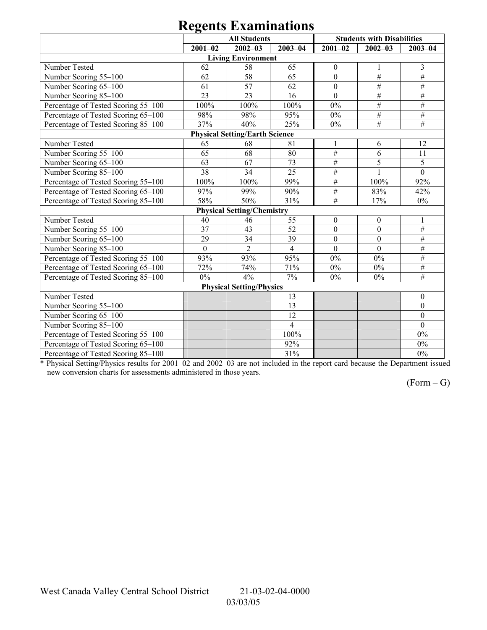| 0                                     |              |                                   |                |                  |                                   |                  |  |  |  |
|---------------------------------------|--------------|-----------------------------------|----------------|------------------|-----------------------------------|------------------|--|--|--|
|                                       |              | <b>All Students</b>               |                |                  | <b>Students with Disabilities</b> |                  |  |  |  |
|                                       | $2001 - 02$  | $2002 - 03$                       | $2003 - 04$    | $2001 - 02$      | $2002 - 03$                       | $2003 - 04$      |  |  |  |
|                                       |              | <b>Living Environment</b>         |                |                  |                                   |                  |  |  |  |
| Number Tested                         | 62           | 58                                | 65             | $\boldsymbol{0}$ | 1                                 | 3                |  |  |  |
| Number Scoring 55-100                 | 62           | 58                                | 65             | $\mathbf{0}$     | $\#$                              | $\overline{\#}$  |  |  |  |
| Number Scoring 65-100                 | 61           | 57                                | 62             | $\mathbf{0}$     | $\overline{\#}$                   | $\#$             |  |  |  |
| Number Scoring 85-100                 | 23           | 23                                | 16             | $\overline{0}$   | $\#$                              | $\overline{\#}$  |  |  |  |
| Percentage of Tested Scoring 55-100   | 100%         | 100%                              | 100%           | $0\%$            | $\#$                              | $\overline{\#}$  |  |  |  |
| Percentage of Tested Scoring 65-100   | 98%          | 98%                               | 95%            | $0\%$            | $\#$                              | $\#$             |  |  |  |
| Percentage of Tested Scoring 85-100   | 37%          | 40%                               | 25%            | $0\%$            | $\frac{1}{2}$                     | $\overline{\#}$  |  |  |  |
| <b>Physical Setting/Earth Science</b> |              |                                   |                |                  |                                   |                  |  |  |  |
| Number Tested                         | 65           | 68                                | 81             | $\mathbf{1}$     | 6                                 | 12               |  |  |  |
| Number Scoring 55-100                 | 65           | 68                                | 80             | $\#$             | 6                                 | 11               |  |  |  |
| Number Scoring 65-100                 | 63           | 67                                | 73             | $\#$             | 5                                 | $\overline{5}$   |  |  |  |
| Number Scoring 85-100                 | 38           | 34                                | 25             | $\#$             |                                   | $\overline{0}$   |  |  |  |
| Percentage of Tested Scoring 55-100   | 100%         | 100%                              | 99%            | $\#$             | 100%                              | 92%              |  |  |  |
| Percentage of Tested Scoring 65-100   | 97%          | 99%                               | 90%            | $\#$             | 83%                               | 42%              |  |  |  |
| Percentage of Tested Scoring 85-100   | 58%          | 50%                               | 31%            | $\frac{1}{2}$    | 17%                               | $0\%$            |  |  |  |
|                                       |              | <b>Physical Setting/Chemistry</b> |                |                  |                                   |                  |  |  |  |
| Number Tested                         | 40           | 46                                | 55             | $\mathbf{0}$     | $\theta$                          |                  |  |  |  |
| Number Scoring 55-100                 | 37           | 43                                | 52             | $\mathbf{0}$     | $\mathbf{0}$                      | $\overline{\#}$  |  |  |  |
| Number Scoring 65-100                 | 29           | 34                                | 39             | $\mathbf{0}$     | $\mathbf{0}$                      | $\#$             |  |  |  |
| Number Scoring 85-100                 | $\mathbf{0}$ | $\overline{2}$                    | $\overline{4}$ | $\overline{0}$   | $\overline{0}$                    | $\overline{\#}$  |  |  |  |
| Percentage of Tested Scoring 55-100   | 93%          | 93%                               | 95%            | $0\%$            | $0\%$                             | $\overline{\#}$  |  |  |  |
| Percentage of Tested Scoring 65-100   | 72%          | 74%                               | 71%            | $0\%$            | $0\%$                             | $\overline{\#}$  |  |  |  |
| Percentage of Tested Scoring 85-100   | $0\%$        | 4%                                | $7\%$          | $0\%$            | $0\%$                             | $\frac{1}{2}$    |  |  |  |
|                                       |              | <b>Physical Setting/Physics</b>   |                |                  |                                   |                  |  |  |  |
| Number Tested                         |              |                                   | 13             |                  |                                   | $\boldsymbol{0}$ |  |  |  |
| Number Scoring 55-100                 |              |                                   | 13             |                  |                                   | $\mathbf{0}$     |  |  |  |
| Number Scoring 65-100                 |              |                                   | 12             |                  |                                   | $\mathbf{0}$     |  |  |  |
| Number Scoring 85-100                 |              |                                   | $\overline{4}$ |                  |                                   | $\theta$         |  |  |  |
| Percentage of Tested Scoring 55-100   |              |                                   | 100%           |                  |                                   | $0\%$            |  |  |  |
| Percentage of Tested Scoring 65-100   |              |                                   | 92%            |                  |                                   | $0\%$            |  |  |  |
| Percentage of Tested Scoring 85-100   |              |                                   | 31%            |                  |                                   | $0\%$            |  |  |  |

\* Physical Setting/Physics results for 2001-02 and 2002-03 are not included in the report card because the Department issued new conversion charts for assessments administered in those years.

 $(Form - G)$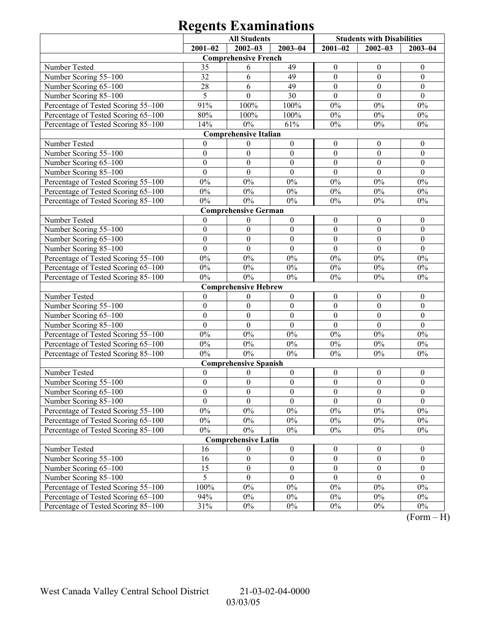|                                                                                                                        | <b>All Students</b> |                              |                  | <b>Students with Disabilities</b> |                  |                  |  |  |  |
|------------------------------------------------------------------------------------------------------------------------|---------------------|------------------------------|------------------|-----------------------------------|------------------|------------------|--|--|--|
|                                                                                                                        | $2001 - 02$         | $2002 - 03$                  | $2003 - 04$      | $2001 - 02$                       | $2002 - 03$      | $2003 - 04$      |  |  |  |
|                                                                                                                        |                     | <b>Comprehensive French</b>  |                  |                                   |                  |                  |  |  |  |
| Number Tested                                                                                                          | 35                  | 6                            | 49               | $\boldsymbol{0}$                  | $\mathbf{0}$     | $\boldsymbol{0}$ |  |  |  |
| Number Scoring 55-100                                                                                                  | 32                  | 6                            | 49               | $\boldsymbol{0}$                  | $\boldsymbol{0}$ | $\mathbf{0}$     |  |  |  |
| Number Scoring 65-100                                                                                                  | 28                  | 6                            | 49               | $\boldsymbol{0}$                  | $\boldsymbol{0}$ | $\mathbf{0}$     |  |  |  |
| Number Scoring 85-100                                                                                                  | 5                   | $\theta$                     | 30               | $\theta$                          | $\theta$         | $\theta$         |  |  |  |
| Percentage of Tested Scoring 55-100                                                                                    | 91%                 | 100%                         | 100%             | $0\%$                             | $0\%$            | $0\%$            |  |  |  |
| Percentage of Tested Scoring 65-100                                                                                    | 80%                 | 100%                         | 100%             | $0\%$                             | $0\%$            | $0\%$            |  |  |  |
| Percentage of Tested Scoring 85-100                                                                                    | 14%                 | $0\%$                        | 61%              | $0\%$                             | $0\%$            | $0\%$            |  |  |  |
| <b>Comprehensive Italian</b>                                                                                           |                     |                              |                  |                                   |                  |                  |  |  |  |
| Number Tested<br>0<br>$\boldsymbol{0}$<br>$\boldsymbol{0}$<br>$\boldsymbol{0}$<br>$\boldsymbol{0}$<br>$\boldsymbol{0}$ |                     |                              |                  |                                   |                  |                  |  |  |  |
| Number Scoring 55-100                                                                                                  | $\boldsymbol{0}$    | $\boldsymbol{0}$             | $\boldsymbol{0}$ | $\boldsymbol{0}$                  | $\boldsymbol{0}$ | $\mathbf{0}$     |  |  |  |
| Number Scoring 65-100                                                                                                  | $\boldsymbol{0}$    | $\mathbf{0}$                 | $\boldsymbol{0}$ | $\boldsymbol{0}$                  | $\boldsymbol{0}$ | $\mathbf{0}$     |  |  |  |
| Number Scoring 85-100                                                                                                  | $\mathbf{0}$        | $\theta$                     | $\mathbf{0}$     | $\mathbf{0}$                      | $\theta$         | $\theta$         |  |  |  |
| Percentage of Tested Scoring 55-100                                                                                    | $0\%$               | $0\%$                        | $0\%$            | $0\%$                             | $0\%$            | $0\%$            |  |  |  |
| Percentage of Tested Scoring 65-100                                                                                    | $0\%$               | $0\%$                        | $0\%$            | $0\%$                             | $0\%$            | $0\%$            |  |  |  |
| Percentage of Tested Scoring 85-100                                                                                    | $0\%$               | $0\%$                        | $0\%$            | $0\%$                             | $0\%$            | $0\%$            |  |  |  |
| <b>Comprehensive German</b>                                                                                            |                     |                              |                  |                                   |                  |                  |  |  |  |
| Number Tested                                                                                                          | $\mathbf{0}$        | $\mathbf{0}$                 | $\boldsymbol{0}$ | $\boldsymbol{0}$                  | $\boldsymbol{0}$ | $\boldsymbol{0}$ |  |  |  |
| Number Scoring 55-100                                                                                                  | $\boldsymbol{0}$    | $\mathbf{0}$                 | $\boldsymbol{0}$ | $\boldsymbol{0}$                  | $\boldsymbol{0}$ | $\mathbf{0}$     |  |  |  |
| Number Scoring 65-100                                                                                                  | $\boldsymbol{0}$    | $\boldsymbol{0}$             | $\boldsymbol{0}$ | $\boldsymbol{0}$                  | $\boldsymbol{0}$ | $\mathbf{0}$     |  |  |  |
| Number Scoring 85-100                                                                                                  | $\mathbf{0}$        | $\theta$                     | $\mathbf{0}$     | $\mathbf{0}$                      | $\mathbf{0}$     | $\theta$         |  |  |  |
| Percentage of Tested Scoring 55-100                                                                                    | $0\%$               | $0\%$                        | $0\%$            | $0\%$                             | $0\%$            | $0\%$            |  |  |  |
| Percentage of Tested Scoring 65-100                                                                                    | $0\%$               | $0\%$                        | $0\%$            | $0\%$                             | $0\%$            | $0\%$            |  |  |  |
| Percentage of Tested Scoring 85-100                                                                                    | $0\%$               | $0\%$                        | $0\%$            | $0\%$                             | 0%               | $0\%$            |  |  |  |
|                                                                                                                        |                     | <b>Comprehensive Hebrew</b>  |                  |                                   |                  |                  |  |  |  |
| Number Tested                                                                                                          | $\mathbf{0}$        | $\boldsymbol{0}$             | $\boldsymbol{0}$ | $\boldsymbol{0}$                  | $\boldsymbol{0}$ | $\boldsymbol{0}$ |  |  |  |
| Number Scoring 55-100                                                                                                  | $\boldsymbol{0}$    | $\mathbf{0}$                 | $\boldsymbol{0}$ | $\boldsymbol{0}$                  | $\boldsymbol{0}$ | $\mathbf{0}$     |  |  |  |
| Number Scoring 65-100                                                                                                  | $\boldsymbol{0}$    | $\mathbf{0}$                 | $\boldsymbol{0}$ | $\boldsymbol{0}$                  | $\boldsymbol{0}$ | $\mathbf{0}$     |  |  |  |
| Number Scoring 85-100                                                                                                  | $\mathbf{0}$        | $\mathbf{0}$                 | $\boldsymbol{0}$ | $\theta$                          | $\theta$         | $\mathbf{0}$     |  |  |  |
| Percentage of Tested Scoring 55-100                                                                                    | $0\%$               | $0\%$                        | $0\%$            | $0\%$                             | $0\%$            | $0\%$            |  |  |  |
| Percentage of Tested Scoring 65-100                                                                                    | $0\%$               | $0\%$                        | $0\%$            | $0\%$                             | $0\%$            | $0\%$            |  |  |  |
| Percentage of Tested Scoring 85-100                                                                                    | $0\%$               | $0\%$                        | $0\%$            | $0\%$                             | $0\%$            | $0\%$            |  |  |  |
|                                                                                                                        |                     | <b>Comprehensive Spanish</b> |                  |                                   |                  |                  |  |  |  |
| Number Tested                                                                                                          | $\boldsymbol{0}$    | $\boldsymbol{0}$             | $\boldsymbol{0}$ | $\boldsymbol{0}$                  | $\boldsymbol{0}$ | $\boldsymbol{0}$ |  |  |  |
| Number Scoring 55-100                                                                                                  | $\boldsymbol{0}$    | $\boldsymbol{0}$             | $\boldsymbol{0}$ | $\boldsymbol{0}$                  | $\boldsymbol{0}$ | $\mathbf{0}$     |  |  |  |
| Number Scoring 65-100                                                                                                  | $\boldsymbol{0}$    | $\boldsymbol{0}$             | $\boldsymbol{0}$ | $\boldsymbol{0}$                  | $\boldsymbol{0}$ | $\boldsymbol{0}$ |  |  |  |
| Number Scoring 85-100                                                                                                  | $\boldsymbol{0}$    | $\theta$                     | $\theta$         | $\theta$                          | $\theta$         | $\theta$         |  |  |  |
| Percentage of Tested Scoring 55-100                                                                                    | $0\%$               | $0\%$                        | $0\%$            | $0\%$                             | $0\%$            | $0\%$            |  |  |  |
| Percentage of Tested Scoring 65-100                                                                                    | $0\%$               | $0\%$                        | $0\%$            | $0\%$                             | $0\%$            | $0\%$            |  |  |  |
| Percentage of Tested Scoring 85-100                                                                                    | $0\%$               | $0\%$                        | $0\%$            | $0\%$                             | $0\%$            | $0\%$            |  |  |  |
|                                                                                                                        |                     | <b>Comprehensive Latin</b>   |                  |                                   |                  |                  |  |  |  |
| Number Tested                                                                                                          | 16                  | $\theta$                     | $\boldsymbol{0}$ | $\boldsymbol{0}$                  | $\boldsymbol{0}$ | $\boldsymbol{0}$ |  |  |  |
| Number Scoring 55-100                                                                                                  | 16                  | $\boldsymbol{0}$             | $\boldsymbol{0}$ | $\boldsymbol{0}$                  | $\boldsymbol{0}$ | $\boldsymbol{0}$ |  |  |  |
| Number Scoring 65-100                                                                                                  | 15                  | $\boldsymbol{0}$             | $\boldsymbol{0}$ | $\boldsymbol{0}$                  | $\boldsymbol{0}$ | $\boldsymbol{0}$ |  |  |  |
| Number Scoring 85-100                                                                                                  | 5                   | $\boldsymbol{0}$             | $\mathbf{0}$     | $\theta$                          | $\boldsymbol{0}$ | $\theta$         |  |  |  |
| Percentage of Tested Scoring 55-100                                                                                    | 100%                | $0\%$                        | $0\%$            | $0\%$                             | $0\%$            | $0\%$            |  |  |  |
| Percentage of Tested Scoring 65-100                                                                                    | 94%                 | $0\%$                        | $0\%$            | $0\%$                             | $0\%$            | $0\%$            |  |  |  |
| Percentage of Tested Scoring 85-100                                                                                    | 31%                 | $0\%$                        | $0\%$            | $0\%$                             | $0\%$            | $0\%$            |  |  |  |

 $(Form - H)$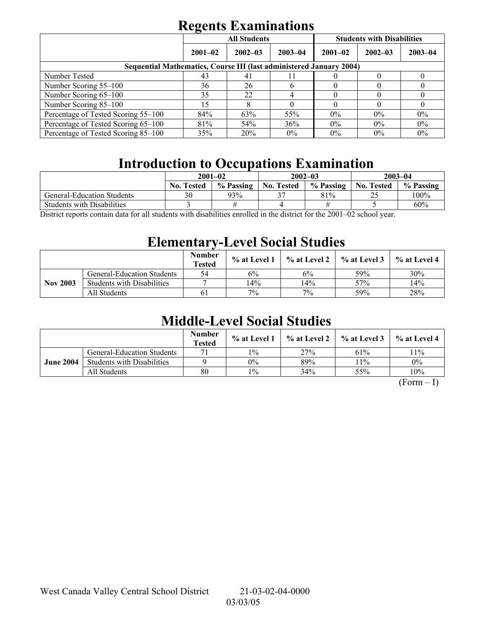|                                                                            | $\overline{\phantom{0}}$ | <b>All Students</b> |             | <b>Students with Disabilities</b> |             |             |  |  |  |
|----------------------------------------------------------------------------|--------------------------|---------------------|-------------|-----------------------------------|-------------|-------------|--|--|--|
|                                                                            | $2001 - 02$              | $2002 - 03$         | $2003 - 04$ | $2001 - 02$                       | $2002 - 03$ | $2003 - 04$ |  |  |  |
| <b>Sequential Mathematics, Course III (last administered January 2004)</b> |                          |                     |             |                                   |             |             |  |  |  |
| Number Tested                                                              | 43                       | 41                  |             |                                   |             |             |  |  |  |
| Number Scoring 55–100                                                      | 36                       | 26                  | h           |                                   |             |             |  |  |  |
| Number Scoring 65-100                                                      | 35                       | 22                  |             |                                   |             |             |  |  |  |
| Number Scoring 85-100                                                      | 15                       | 8                   |             |                                   |             |             |  |  |  |
| Percentage of Tested Scoring 55-100                                        | 84%                      | 63%                 | 55%         | $0\%$                             | $0\%$       | $0\%$       |  |  |  |
| Percentage of Tested Scoring 65-100                                        | 81%                      | 54%                 | 36%         | $0\%$                             | $0\%$       | 0%          |  |  |  |
| Percentage of Tested Scoring 85–100                                        | 35%                      | 20%                 | $0\%$       | $0\%$                             | $0\%$       | $0\%$       |  |  |  |

### **Introduction to Occupations Examination**

| $2001 - 02$       |           |                   | $2002 - 03$ | $2003 - 04$       |           |
|-------------------|-----------|-------------------|-------------|-------------------|-----------|
| <b>No. Tested</b> | % Passing | <b>No. Tested</b> | % Passing   | <b>No. Tested</b> | % Passing |
| 30                | 93%       |                   | 81%         | ∸~                | $100\%$   |
|                   |           |                   |             |                   | 60%       |
|                   |           |                   | $\cdots$    |                   | 0.00100   |

District reports contain data for all students with disabilities enrolled in the district for the 2001–02 school year.

### **Elementary-Level Social Studies**

|                 |                                   | <b>Number</b><br><b>Tested</b> | % at Level 1 | % at Level 2 | % at Level 3 | % at Level 4 |
|-----------------|-----------------------------------|--------------------------------|--------------|--------------|--------------|--------------|
|                 | <b>General-Education Students</b> | 54                             | $6\%$        | 6%           | 59%          | 30%          |
| <b>Nov 2003</b> | <b>Students with Disabilities</b> |                                | 14%          | 14%          | 57%          | 14%          |
|                 | All Students                      | 61                             | 7%           | 7%           | 59%          | 28%          |

### **Middle-Level Social Studies**

|                  |                                   | <b>Number</b><br><b>Tested</b> | $\%$ at Level 1 | % at Level 2 | $\frac{9}{6}$ at Level 3 | $\%$ at Level 4 |
|------------------|-----------------------------------|--------------------------------|-----------------|--------------|--------------------------|-----------------|
| <b>June 2004</b> | <b>General-Education Students</b> | 71                             | $1\%$           | 27%          | 61%                      | 11%             |
|                  | <b>Students with Disabilities</b> |                                | 0%              | 89%          | $1\%$                    | $0\%$           |
|                  | All Students                      | 80                             | $1\%$           | 34%          | 55%                      | 10%             |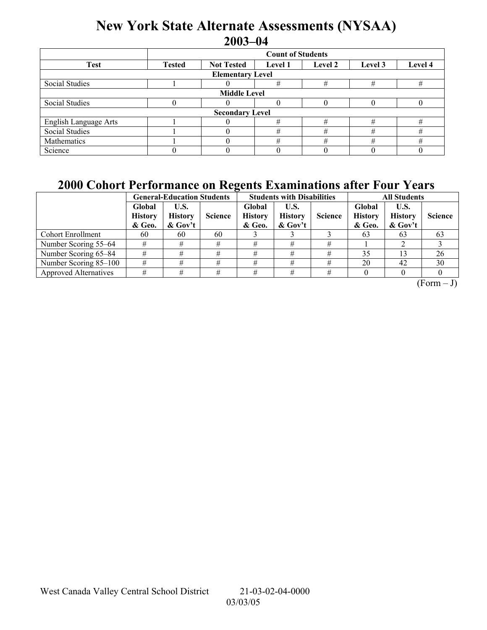### **New York State Alternate Assessments (NYSAA) 2003-04**

|                         | <b>Count of Students</b>                                                              |  |   |   |   |   |  |  |  |
|-------------------------|---------------------------------------------------------------------------------------|--|---|---|---|---|--|--|--|
| <b>Test</b>             | <b>Not Tested</b><br>Level 4<br><b>Tested</b><br>Level 2<br>Level 3<br><b>Level 1</b> |  |   |   |   |   |  |  |  |
| <b>Elementary Level</b> |                                                                                       |  |   |   |   |   |  |  |  |
| Social Studies          |                                                                                       |  | # | # | # | # |  |  |  |
| <b>Middle Level</b>     |                                                                                       |  |   |   |   |   |  |  |  |
| Social Studies          |                                                                                       |  | 0 |   |   |   |  |  |  |
| <b>Secondary Level</b>  |                                                                                       |  |   |   |   |   |  |  |  |
| English Language Arts   |                                                                                       |  | # |   | # | # |  |  |  |
| <b>Social Studies</b>   |                                                                                       |  | # | # | # | # |  |  |  |
| Mathematics             |                                                                                       |  | # | # | # | # |  |  |  |
| Science                 |                                                                                       |  |   |   |   |   |  |  |  |

### **2000 Cohort Performance on Regents Examinations after Four Years**

|                              |                                    | <b>General-Education Students</b>    |                | $\overline{\phantom{a}}$<br><b>Students with Disabilities</b> |                                      |                | <b>All Students</b>                |                                     |                |
|------------------------------|------------------------------------|--------------------------------------|----------------|---------------------------------------------------------------|--------------------------------------|----------------|------------------------------------|-------------------------------------|----------------|
|                              | Global<br><b>History</b><br>& Geo. | U.S.<br><b>History</b><br>$\&$ Gov't | <b>Science</b> | Global<br><b>History</b><br>& Geo.                            | U.S.<br><b>History</b><br>$\&$ Gov't | <b>Science</b> | Global<br><b>History</b><br>& Geo. | U.S.<br><b>History</b><br>$&$ Gov't | <b>Science</b> |
| <b>Cohort Enrollment</b>     | 60                                 | 60                                   | 60             |                                                               |                                      |                | 63                                 | 63                                  | 63             |
| Number Scoring 55–64         |                                    |                                      | #              |                                                               |                                      | #              |                                    |                                     |                |
| Number Scoring 65–84         |                                    |                                      | #              | #                                                             |                                      |                | 35                                 |                                     | 26             |
| Number Scoring 85-100        |                                    |                                      | #              | #                                                             |                                      | #              | 20                                 | 42                                  | 30             |
| <b>Approved Alternatives</b> |                                    |                                      | #              |                                                               |                                      | #              |                                    |                                     |                |

 $(Form - J)$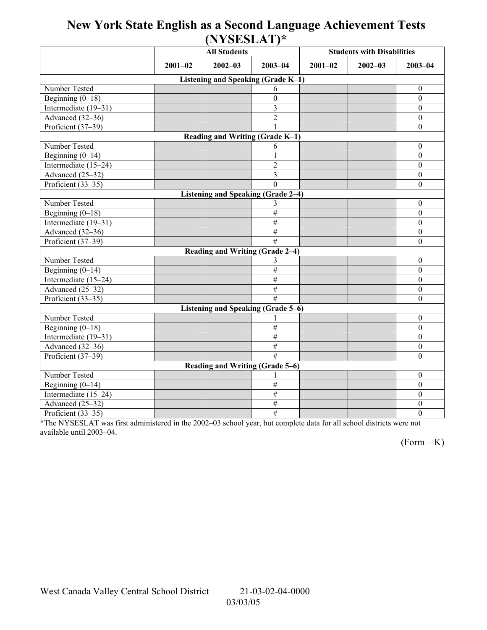### **New York State English as a Second Language Achievement Tests (NYSESLAT)\***

|                                           |                            | <b>All Students</b>             |                 | <b>Students with Disabilities</b> |  |                  |  |  |  |
|-------------------------------------------|----------------------------|---------------------------------|-----------------|-----------------------------------|--|------------------|--|--|--|
|                                           | $2002 - 03$<br>$2001 - 02$ |                                 | $2003 - 04$     | $2001 - 02$<br>$2002 - 03$        |  | $2003 - 04$      |  |  |  |
| Listening and Speaking (Grade K-1)        |                            |                                 |                 |                                   |  |                  |  |  |  |
| Number Tested                             |                            |                                 | 6               |                                   |  | $\mathbf{0}$     |  |  |  |
| Beginning $(0-18)$                        |                            |                                 | $\mathbf{0}$    |                                   |  | $\mathbf{0}$     |  |  |  |
| Intermediate (19-31)                      |                            |                                 | 3               |                                   |  | $\boldsymbol{0}$ |  |  |  |
| Advanced (32-36)                          |                            |                                 | $\overline{2}$  |                                   |  | $\boldsymbol{0}$ |  |  |  |
| Proficient (37-39)                        |                            |                                 |                 |                                   |  | $\mathbf{0}$     |  |  |  |
| Reading and Writing (Grade K-1)           |                            |                                 |                 |                                   |  |                  |  |  |  |
| Number Tested                             |                            |                                 | 6               |                                   |  | $\mathbf{0}$     |  |  |  |
| Beginning $(0-14)$                        |                            |                                 |                 |                                   |  | $\mathbf{0}$     |  |  |  |
| Intermediate (15-24)                      |                            |                                 | $\overline{2}$  |                                   |  | $\mathbf{0}$     |  |  |  |
| Advanced $(25-32)$                        |                            |                                 | 3               |                                   |  | $\boldsymbol{0}$ |  |  |  |
| Proficient $(33-35)$                      |                            |                                 | $\theta$        |                                   |  | $\boldsymbol{0}$ |  |  |  |
| Listening and Speaking (Grade 2-4)        |                            |                                 |                 |                                   |  |                  |  |  |  |
| Number Tested                             |                            |                                 | 3               |                                   |  | $\theta$         |  |  |  |
| Beginning $(0-18)$                        |                            |                                 | $\#$            |                                   |  | $\boldsymbol{0}$ |  |  |  |
| Intermediate (19-31)                      |                            |                                 | $\overline{\#}$ |                                   |  | $\mathbf{0}$     |  |  |  |
| Advanced (32-36)                          |                            |                                 | $\overline{\#}$ |                                   |  | $\boldsymbol{0}$ |  |  |  |
| Proficient (37-39)                        |                            |                                 | #               |                                   |  | $\mathbf{0}$     |  |  |  |
|                                           |                            | Reading and Writing (Grade 2-4) |                 |                                   |  |                  |  |  |  |
| Number Tested                             |                            |                                 | 3               |                                   |  | $\mathbf{0}$     |  |  |  |
| Beginning $(0-14)$                        |                            |                                 | #               |                                   |  | $\theta$         |  |  |  |
| Intermediate (15-24)                      |                            |                                 | $\#$            |                                   |  | $\boldsymbol{0}$ |  |  |  |
| Advanced (25–32)                          |                            |                                 | $\#$            |                                   |  | $\boldsymbol{0}$ |  |  |  |
| Proficient (33-35)                        |                            |                                 | #               |                                   |  | $\mathbf{0}$     |  |  |  |
| <b>Listening and Speaking (Grade 5-6)</b> |                            |                                 |                 |                                   |  |                  |  |  |  |
| Number Tested                             |                            |                                 |                 |                                   |  | $\boldsymbol{0}$ |  |  |  |
| Beginning $(0-18)$                        |                            |                                 | $\overline{\#}$ |                                   |  | $\mathbf{0}$     |  |  |  |
| Intermediate (19-31)                      |                            |                                 | $\#$            |                                   |  | $\mathbf{0}$     |  |  |  |
| Advanced (32-36)                          |                            |                                 | $\#$            |                                   |  | $\boldsymbol{0}$ |  |  |  |
| Proficient (37-39)                        |                            |                                 | #               |                                   |  | $\theta$         |  |  |  |
| <b>Reading and Writing (Grade 5-6)</b>    |                            |                                 |                 |                                   |  |                  |  |  |  |
| Number Tested                             |                            |                                 |                 |                                   |  | $\mathbf{0}$     |  |  |  |
| Beginning $(0-14)$                        |                            |                                 | $\#$            |                                   |  | $\boldsymbol{0}$ |  |  |  |
| Intermediate (15-24)                      |                            |                                 | $\overline{\#}$ |                                   |  | $\boldsymbol{0}$ |  |  |  |
| Advanced (25-32)                          |                            |                                 | $\#$            |                                   |  | $\boldsymbol{0}$ |  |  |  |
| Proficient (33-35)                        |                            |                                 | #               |                                   |  | $\mathbf{0}$     |  |  |  |

\*The NYSESLAT was first administered in the 2002-03 school year, but complete data for all school districts were not available until 2003-04.

 $(Form - K)$